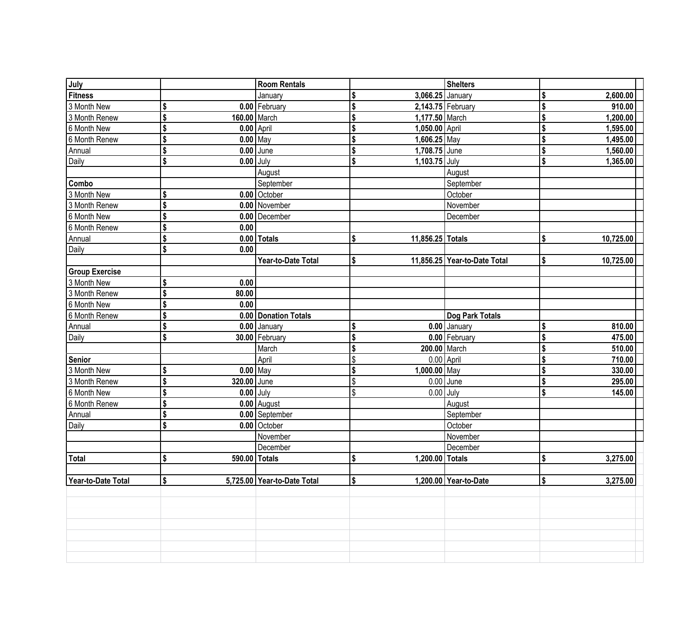| July                  |                     | <b>Room Rentals</b>         |                        | <b>Shelters</b>              |                 |
|-----------------------|---------------------|-----------------------------|------------------------|------------------------------|-----------------|
| <b>Fitness</b>        |                     | January                     | 3,066.25 January       |                              | \$<br>2,600.00  |
| 3 Month New           | \$                  | 0.00 February               |                        | 2,143.75 February            | \$<br>910.00    |
| 3 Month Renew         | \$<br>160.00 March  |                             | 1,177.50 March         |                              | \$<br>1,200.00  |
| 6 Month New           | \$<br>$0.00$ April  |                             | 1,050.00 April         |                              | \$<br>1,595.00  |
| 6 Month Renew         | \$<br>$0.00$ May    |                             | 1,606.25 May           |                              | 1,495.00        |
| Annual                | \$                  | $0.00$ June                 | 1,708.75 June          |                              | \$<br>1,560.00  |
| Daily                 | \$<br>$0.00$ July   |                             | \$<br>1,103.75 July    |                              | \$<br>1,365.00  |
|                       |                     | August                      |                        | August                       |                 |
| Combo                 |                     | September                   |                        | September                    |                 |
| 3 Month New           | \$                  | 0.00 October                |                        | October                      |                 |
| 3 Month Renew         | \$                  | 0.00 November               |                        | November                     |                 |
| 6 Month New           | \$                  | 0.00 December               |                        | December                     |                 |
| 6 Month Renew         | \$<br>0.00          |                             |                        |                              |                 |
| Annual                | \$                  | $0.00$ Totals               | \$<br>11,856.25 Totals |                              | \$<br>10,725.00 |
| Daily                 | \$<br>0.00          |                             |                        |                              |                 |
|                       |                     | Year-to-Date Total          | \$                     | 11,856.25 Year-to-Date Total | \$<br>10,725.00 |
| <b>Group Exercise</b> |                     |                             |                        |                              |                 |
| 3 Month New           | \$<br>0.00          |                             |                        |                              |                 |
| 3 Month Renew         | \$<br>80.00         |                             |                        |                              |                 |
| 6 Month New           | \$<br>0.00          |                             |                        |                              |                 |
| 6 Month Renew         | \$                  | 0.00 Donation Totals        |                        | Dog Park Totals              |                 |
| Annual                | \$                  | $0.00$ January              |                        | 0.00 January                 | \$<br>810.00    |
| Daily                 | \$                  | 30.00   February            |                        | 0.00 February                | \$<br>475.00    |
|                       |                     | March                       | 200.00 March           |                              | \$<br>510.00    |
| Senior                |                     | April                       |                        | $0.00$ April                 | \$<br>710.00    |
| 3 Month New           | \$<br>$0.00$ May    |                             | $1,000.00$ May         |                              | \$<br>330.00    |
| 3 Month Renew         | \$<br>320.00 June   |                             | \$                     | $0.00$ June                  | \$<br>295.00    |
| 6 Month New           | \$<br>$0.00$ July   |                             | \$                     | $0.00$ July                  | \$<br>145.00    |
| 6 Month Renew         | \$                  | $0.00$ August               |                        | August                       |                 |
| Annual                | \$                  | 0.00 September              |                        | September                    |                 |
| Daily                 | \$                  | 0.00 October                |                        | October                      |                 |
|                       |                     | November                    |                        | November                     |                 |
|                       |                     | December                    |                        | December                     |                 |
| Total                 | \$<br>590.00 Totals |                             | \$<br>1,200.00 Totals  |                              | \$<br>3,275.00  |
|                       |                     |                             |                        |                              |                 |
| Year-to-Date Total    | \$                  | 5,725.00 Year-to-Date Total | \$                     | 1,200.00 Year-to-Date        | \$<br>3,275.00  |
|                       |                     |                             |                        |                              |                 |
|                       |                     |                             |                        |                              |                 |
|                       |                     |                             |                        |                              |                 |
|                       |                     |                             |                        |                              |                 |
|                       |                     |                             |                        |                              |                 |
|                       |                     |                             |                        |                              |                 |
|                       |                     |                             |                        |                              |                 |